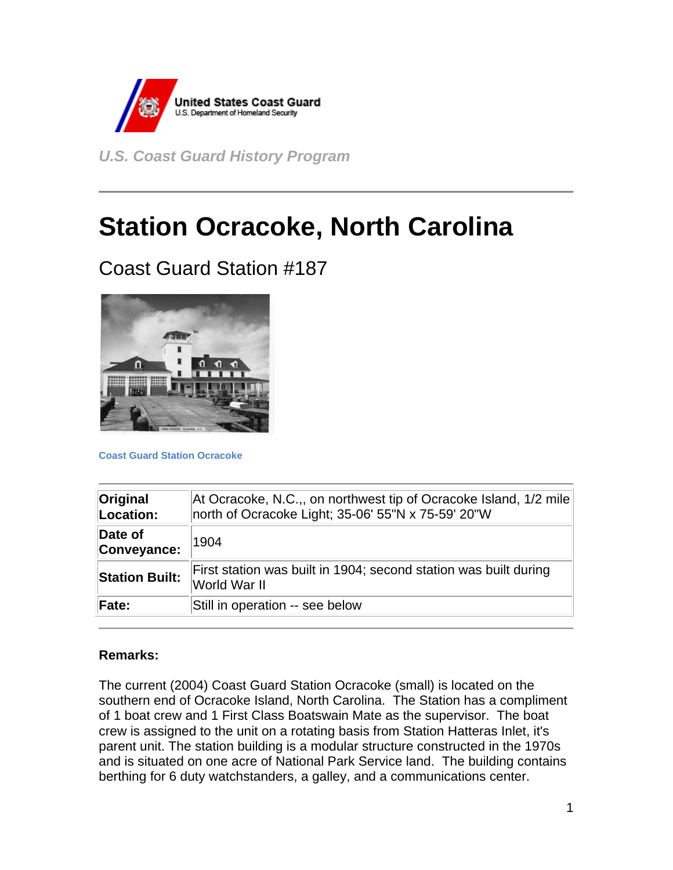

*U.S. Coast Guard History Program* 

# **Station Ocracoke, North Carolina**

## Coast Guard Station #187



**Coast Guard Station Ocracoke**

| Original<br>Location:  | At Ocracoke, N.C.,, on northwest tip of Ocracoke Island, 1/2 mile<br>north of Ocracoke Light; 35-06' 55"N x 75-59' 20"W |
|------------------------|-------------------------------------------------------------------------------------------------------------------------|
| Date of<br>Conveyance: | 1904                                                                                                                    |
| <b>Station Built:</b>  | First station was built in 1904; second station was built during<br>World War II                                        |
| Fate:                  | Still in operation -- see below                                                                                         |

#### **Remarks:**

The current (2004) Coast Guard Station Ocracoke (small) is located on the southern end of Ocracoke Island, North Carolina. The Station has a compliment of 1 boat crew and 1 First Class Boatswain Mate as the supervisor. The boat crew is assigned to the unit on a rotating basis from Station Hatteras Inlet, it's parent unit. The station building is a modular structure constructed in the 1970s and is situated on one acre of National Park Service land. The building contains berthing for 6 duty watchstanders, a galley, and a communications center.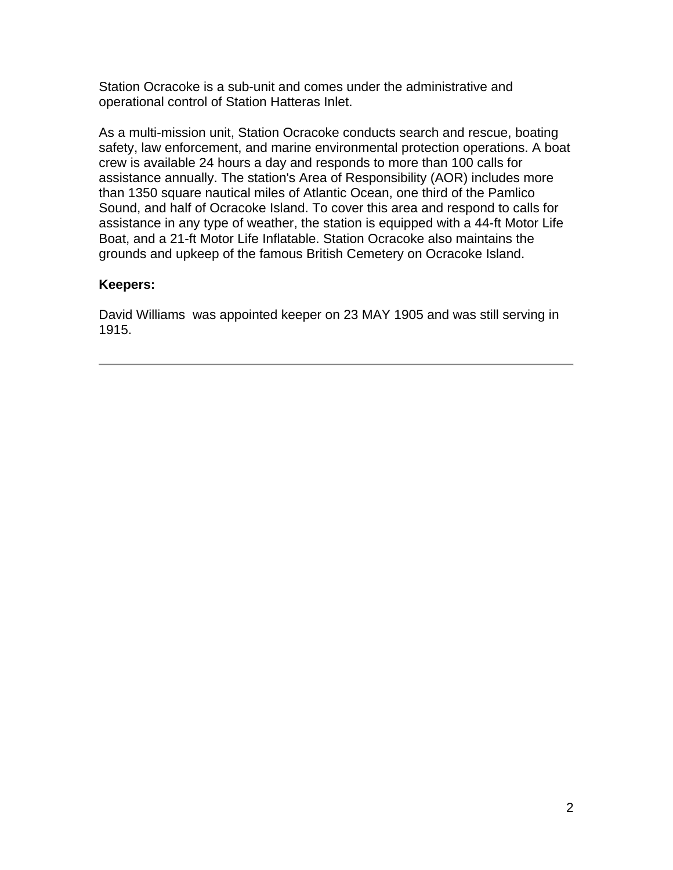Station Ocracoke is a sub-unit and comes under the administrative and operational control of Station Hatteras Inlet.

As a multi-mission unit, Station Ocracoke conducts search and rescue, boating safety, law enforcement, and marine environmental protection operations. A boat crew is available 24 hours a day and responds to more than 100 calls for assistance annually. The station's Area of Responsibility (AOR) includes more than 1350 square nautical miles of Atlantic Ocean, one third of the Pamlico Sound, and half of Ocracoke Island. To cover this area and respond to calls for assistance in any type of weather, the station is equipped with a 44-ft Motor Life Boat, and a 21-ft Motor Life Inflatable. Station Ocracoke also maintains the grounds and upkeep of the famous British Cemetery on Ocracoke Island.

#### **Keepers:**

David Williams was appointed keeper on 23 MAY 1905 and was still serving in 1915.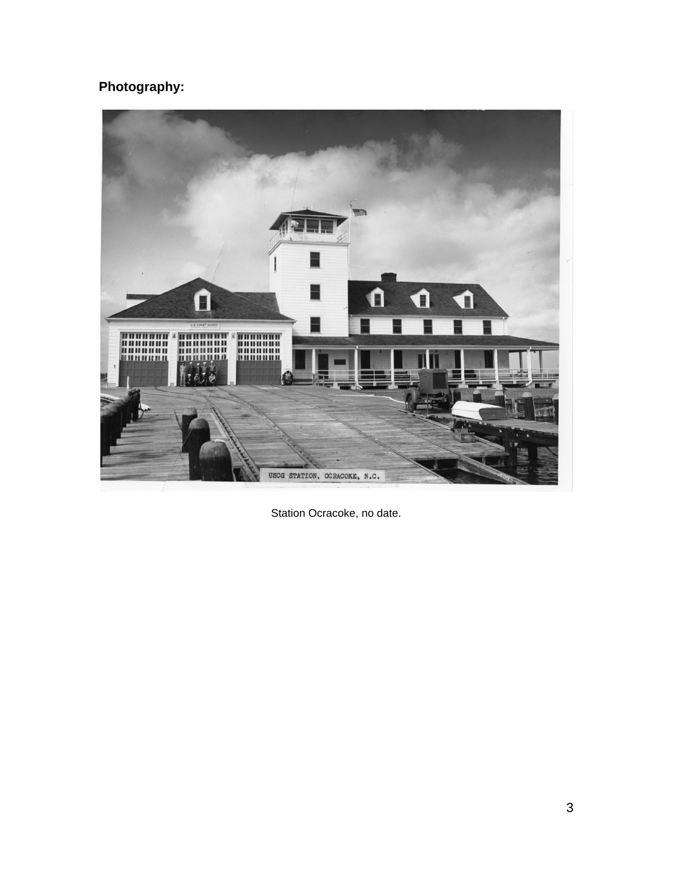### **Photography:**



Station Ocracoke, no date.